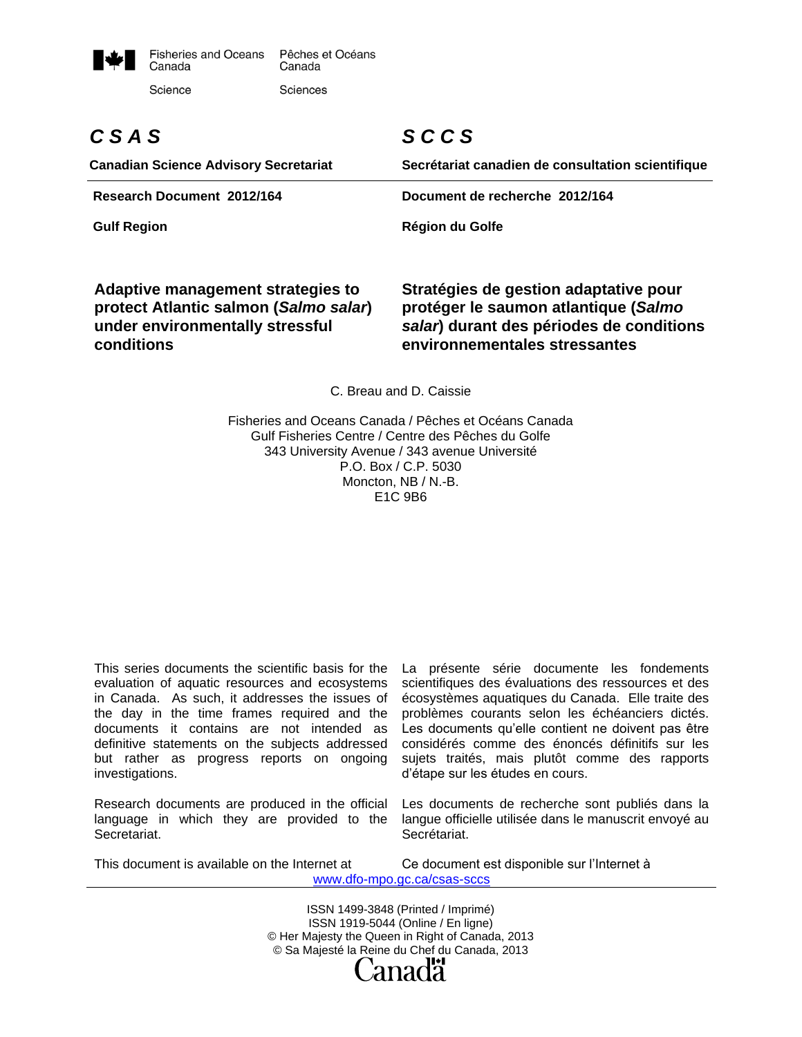

# *C S A S*

**Canadian Science Advisory Secretariat**

## *S C C S*

**Secrétariat canadien de consultation scientifique**

**Research Document 2012/164 Document de recherche 2012/164**

**Gulf Region Région du Golfe** 

**Adaptive management strategies to protect Atlantic salmon (***Salmo salar***) under environmentally stressful conditions**

#### **Stratégies de gestion adaptative pour protéger le saumon atlantique (***Salmo salar***) durant des périodes de conditions environnementales stressantes**

C. Breau and D. Caissie

Fisheries and Oceans Canada / Pêches et Océans Canada Gulf Fisheries Centre / Centre des Pêches du Golfe 343 University Avenue / 343 avenue Université P.O. Box / C.P. 5030 Moncton, NB / N.-B. E1C 9B6

This series documents the scientific basis for the evaluation of aquatic resources and ecosystems in Canada. As such, it addresses the issues of the day in the time frames required and the documents it contains are not intended as definitive statements on the subjects addressed but rather as progress reports on ongoing investigations.

Research documents are produced in the official language in which they are provided to the Secretariat.

La présente série documente les fondements scientifiques des évaluations des ressources et des écosystèmes aquatiques du Canada. Elle traite des problèmes courants selon les échéanciers dictés. Les documents qu'elle contient ne doivent pas être considérés comme des énoncés définitifs sur les sujets traités, mais plutôt comme des rapports d'étape sur les études en cours.

Les documents de recherche sont publiés dans la langue officielle utilisée dans le manuscrit envoyé au Secrétariat.

This document is available on the Internet at Ce document est disponible sur l'Internet à www.dfo-mpo.gc.ca/csas-sccs

> ISSN 1499-3848 (Printed / Imprimé) ISSN 1919-5044 (Online / En ligne) © Her Majesty the Queen in Right of Canada, 2013 © Sa Majesté la Reine du Chef du Canada, 2013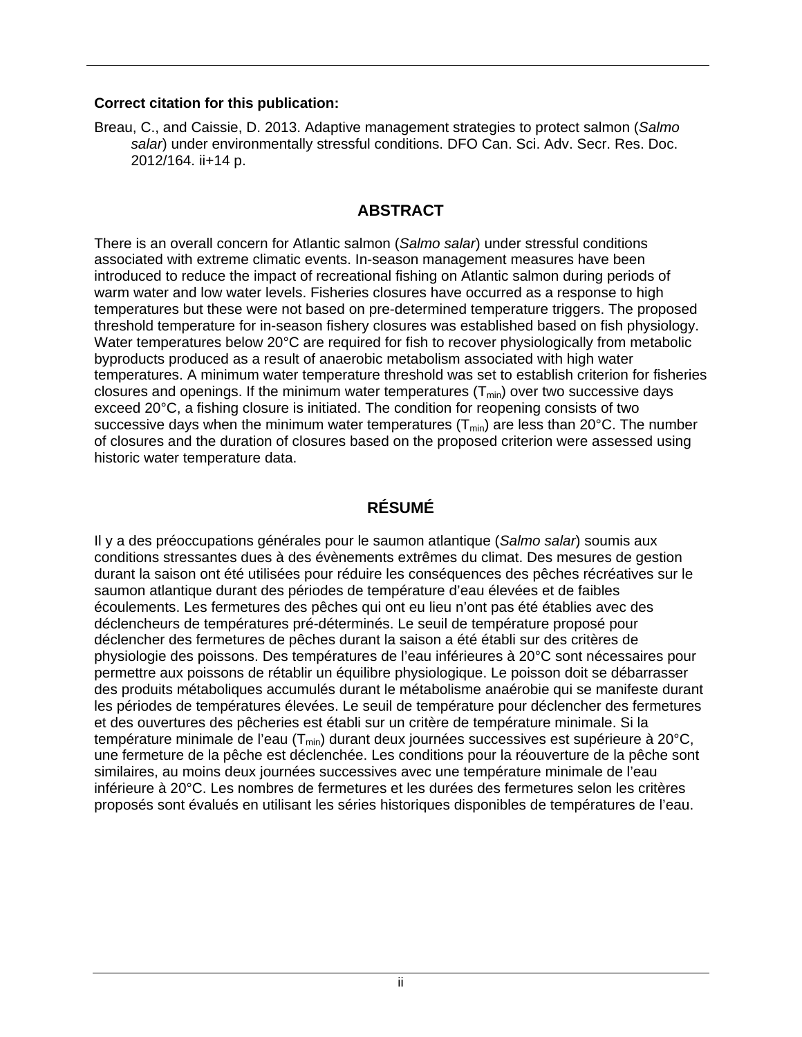#### **Correct citation for this publication:**

Breau, C., and Caissie, D. 2013. Adaptive management strategies to protect salmon (*Salmo salar*) under environmentally stressful conditions. DFO Can. Sci. Adv. Secr. Res. Doc. 2012/164. ii+14 p.

## **ABSTRACT**

There is an overall concern for Atlantic salmon (*Salmo salar*) under stressful conditions associated with extreme climatic events. In-season management measures have been introduced to reduce the impact of recreational fishing on Atlantic salmon during periods of warm water and low water levels. Fisheries closures have occurred as a response to high temperatures but these were not based on pre-determined temperature triggers. The proposed threshold temperature for in-season fishery closures was established based on fish physiology. Water temperatures below 20°C are required for fish to recover physiologically from metabolic byproducts produced as a result of anaerobic metabolism associated with high water temperatures. A minimum water temperature threshold was set to establish criterion for fisheries closures and openings. If the minimum water temperatures  $(T_{min})$  over two successive days exceed 20°C, a fishing closure is initiated. The condition for reopening consists of two successive days when the minimum water temperatures  $(T_{min})$  are less than 20°C. The number of closures and the duration of closures based on the proposed criterion were assessed using historic water temperature data.

## **RÉSUMÉ**

Il y a des préoccupations générales pour le saumon atlantique (*Salmo salar*) soumis aux conditions stressantes dues à des évènements extrêmes du climat. Des mesures de gestion durant la saison ont été utilisées pour réduire les conséquences des pêches récréatives sur le saumon atlantique durant des périodes de température d'eau élevées et de faibles écoulements. Les fermetures des pêches qui ont eu lieu n'ont pas été établies avec des déclencheurs de températures pré-déterminés. Le seuil de température proposé pour déclencher des fermetures de pêches durant la saison a été établi sur des critères de physiologie des poissons. Des températures de l'eau inférieures à 20°C sont nécessaires pour permettre aux poissons de rétablir un équilibre physiologique. Le poisson doit se débarrasser des produits métaboliques accumulés durant le métabolisme anaérobie qui se manifeste durant les périodes de températures élevées. Le seuil de température pour déclencher des fermetures et des ouvertures des pêcheries est établi sur un critère de température minimale. Si la température minimale de l'eau  $(T_{min})$  durant deux journées successives est supérieure à 20°C, une fermeture de la pêche est déclenchée. Les conditions pour la réouverture de la pêche sont similaires, au moins deux journées successives avec une température minimale de l'eau inférieure à 20°C. Les nombres de fermetures et les durées des fermetures selon les critères proposés sont évalués en utilisant les séries historiques disponibles de températures de l'eau.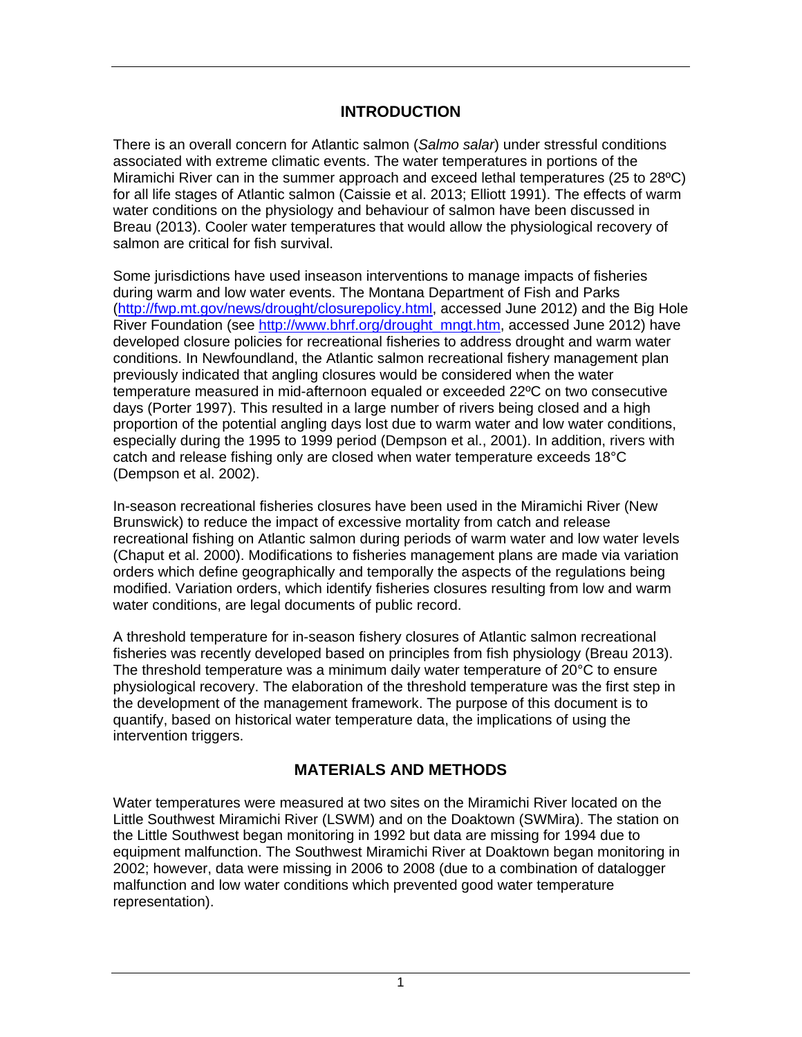## **INTRODUCTION**

There is an overall concern for Atlantic salmon (*Salmo salar*) under stressful conditions associated with extreme climatic events. The water temperatures in portions of the Miramichi River can in the summer approach and exceed lethal temperatures (25 to 28ºC) for all life stages of Atlantic salmon (Caissie et al. 2013; Elliott 1991). The effects of warm water conditions on the physiology and behaviour of salmon have been discussed in Breau (2013). Cooler water temperatures that would allow the physiological recovery of salmon are critical for fish survival.

Some jurisdictions have used inseason interventions to manage impacts of fisheries during warm and low water events. The Montana Department of Fish and Parks [\(http://fwp.mt.gov/news/drought/closurepolicy.html,](http://fwp.mt.gov/news/drought/closurepolicy.html) accessed June 2012) and the Big Hole River Foundation (see [http://www.bhrf.org/drought\\_mngt.htm,](http://www.bhrf.org/drought_mngt.htm) accessed June 2012) have developed closure policies for recreational fisheries to address drought and warm water conditions. In Newfoundland, the Atlantic salmon recreational fishery management plan previously indicated that angling closures would be considered when the water temperature measured in mid-afternoon equaled or exceeded 22ºC on two consecutive days (Porter 1997). This resulted in a large number of rivers being closed and a high proportion of the potential angling days lost due to warm water and low water conditions, especially during the 1995 to 1999 period (Dempson et al., 2001). In addition, rivers with catch and release fishing only are closed when water temperature exceeds 18°C (Dempson et al. 2002).

In-season recreational fisheries closures have been used in the Miramichi River (New Brunswick) to reduce the impact of excessive mortality from catch and release recreational fishing on Atlantic salmon during periods of warm water and low water levels (Chaput et al. 2000). Modifications to fisheries management plans are made via variation orders which define geographically and temporally the aspects of the regulations being modified. Variation orders, which identify fisheries closures resulting from low and warm water conditions, are legal documents of public record.

A threshold temperature for in-season fishery closures of Atlantic salmon recreational fisheries was recently developed based on principles from fish physiology (Breau 2013). The threshold temperature was a minimum daily water temperature of 20°C to ensure physiological recovery. The elaboration of the threshold temperature was the first step in the development of the management framework. The purpose of this document is to quantify, based on historical water temperature data, the implications of using the intervention triggers.

## **MATERIALS AND METHODS**

Water temperatures were measured at two sites on the Miramichi River located on the Little Southwest Miramichi River (LSWM) and on the Doaktown (SWMira). The station on the Little Southwest began monitoring in 1992 but data are missing for 1994 due to equipment malfunction. The Southwest Miramichi River at Doaktown began monitoring in 2002; however, data were missing in 2006 to 2008 (due to a combination of datalogger malfunction and low water conditions which prevented good water temperature representation).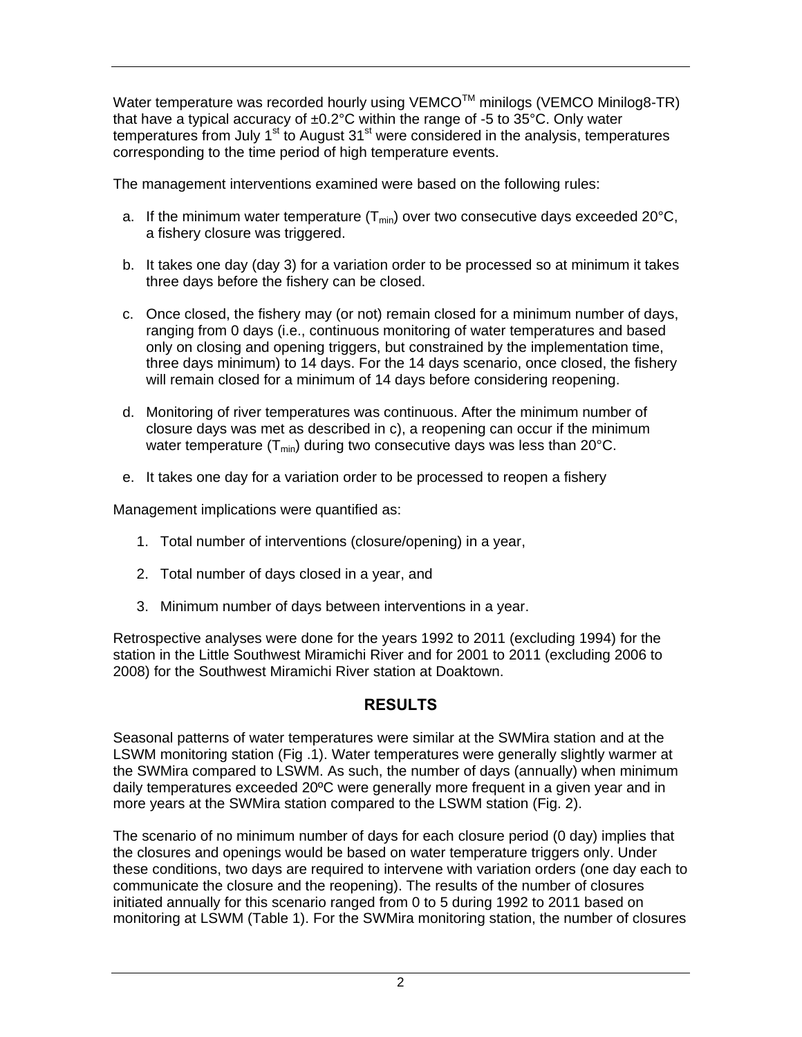Water temperature was recorded hourly using VEMCO<sup>TM</sup> minilogs (VEMCO Minilog8-TR) that have a typical accuracy of  $\pm 0.2^{\circ}$ C within the range of -5 to 35 $^{\circ}$ C. Only water temperatures from July 1<sup>st</sup> to August 31<sup>st</sup> were considered in the analysis, temperatures corresponding to the time period of high temperature events.

The management interventions examined were based on the following rules:

- a. If the minimum water temperature  $(T_{min})$  over two consecutive days exceeded 20 $^{\circ}$ C, a fishery closure was triggered.
- b. It takes one day (day 3) for a variation order to be processed so at minimum it takes three days before the fishery can be closed.
- c. Once closed, the fishery may (or not) remain closed for a minimum number of days, ranging from 0 days (i.e., continuous monitoring of water temperatures and based only on closing and opening triggers, but constrained by the implementation time, three days minimum) to 14 days. For the 14 days scenario, once closed, the fishery will remain closed for a minimum of 14 days before considering reopening.
- d. Monitoring of river temperatures was continuous. After the minimum number of closure days was met as described in c), a reopening can occur if the minimum water temperature  $(T_{min})$  during two consecutive days was less than 20 $^{\circ}$ C.
- e. It takes one day for a variation order to be processed to reopen a fishery

Management implications were quantified as:

- 1. Total number of interventions (closure/opening) in a year,
- 2. Total number of days closed in a year, and
- 3. Minimum number of days between interventions in a year.

Retrospective analyses were done for the years 1992 to 2011 (excluding 1994) for the station in the Little Southwest Miramichi River and for 2001 to 2011 (excluding 2006 to 2008) for the Southwest Miramichi River station at Doaktown.

#### **RESULTS**

Seasonal patterns of water temperatures were similar at the SWMira station and at the LSWM monitoring station (Fig .1). Water temperatures were generally slightly warmer at the SWMira compared to LSWM. As such, the number of days (annually) when minimum daily temperatures exceeded 20ºC were generally more frequent in a given year and in more years at the SWMira station compared to the LSWM station (Fig. 2).

The scenario of no minimum number of days for each closure period (0 day) implies that the closures and openings would be based on water temperature triggers only. Under these conditions, two days are required to intervene with variation orders (one day each to communicate the closure and the reopening). The results of the number of closures initiated annually for this scenario ranged from 0 to 5 during 1992 to 2011 based on monitoring at LSWM (Table 1). For the SWMira monitoring station, the number of closures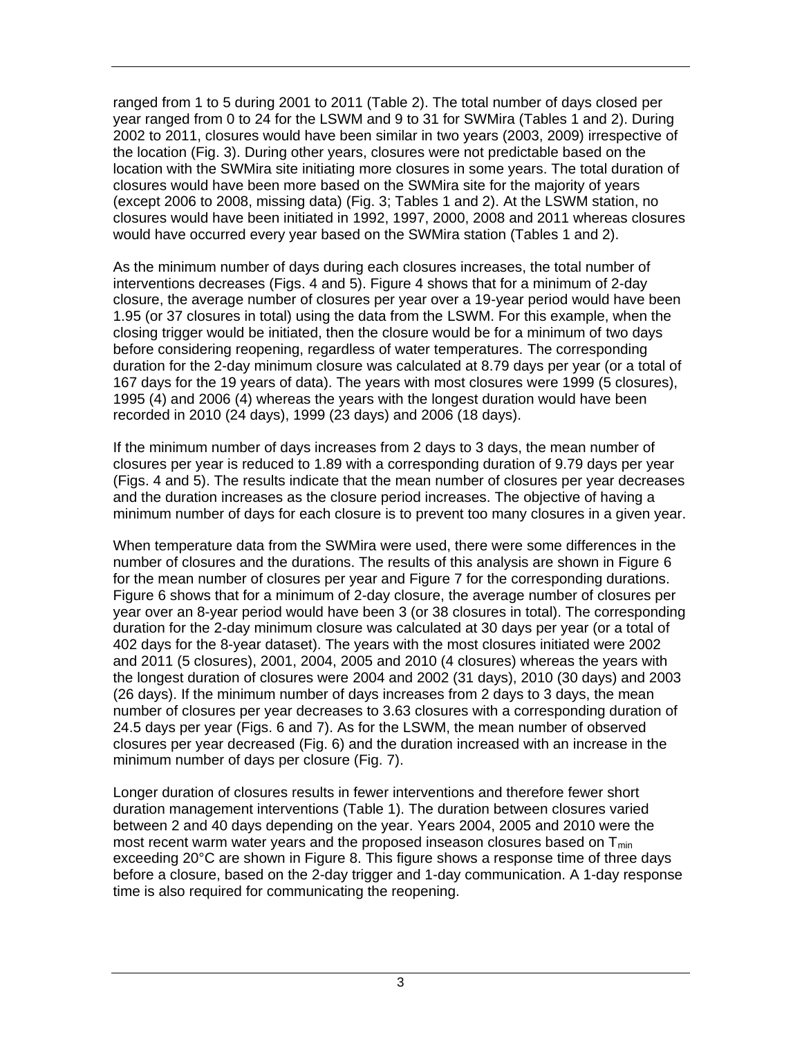ranged from 1 to 5 during 2001 to 2011 (Table 2). The total number of days closed per year ranged from 0 to 24 for the LSWM and 9 to 31 for SWMira (Tables 1 and 2). During 2002 to 2011, closures would have been similar in two years (2003, 2009) irrespective of the location (Fig. 3). During other years, closures were not predictable based on the location with the SWMira site initiating more closures in some years. The total duration of closures would have been more based on the SWMira site for the majority of years (except 2006 to 2008, missing data) (Fig. 3; Tables 1 and 2). At the LSWM station, no closures would have been initiated in 1992, 1997, 2000, 2008 and 2011 whereas closures would have occurred every year based on the SWMira station (Tables 1 and 2).

As the minimum number of days during each closures increases, the total number of interventions decreases (Figs. 4 and 5). Figure 4 shows that for a minimum of 2-day closure, the average number of closures per year over a 19-year period would have been 1.95 (or 37 closures in total) using the data from the LSWM. For this example, when the closing trigger would be initiated, then the closure would be for a minimum of two days before considering reopening, regardless of water temperatures. The corresponding duration for the 2-day minimum closure was calculated at 8.79 days per year (or a total of 167 days for the 19 years of data). The years with most closures were 1999 (5 closures), 1995 (4) and 2006 (4) whereas the years with the longest duration would have been recorded in 2010 (24 days), 1999 (23 days) and 2006 (18 days).

If the minimum number of days increases from 2 days to 3 days, the mean number of closures per year is reduced to 1.89 with a corresponding duration of 9.79 days per year (Figs. 4 and 5). The results indicate that the mean number of closures per year decreases and the duration increases as the closure period increases. The objective of having a minimum number of days for each closure is to prevent too many closures in a given year.

When temperature data from the SWMira were used, there were some differences in the number of closures and the durations. The results of this analysis are shown in Figure 6 for the mean number of closures per year and Figure 7 for the corresponding durations. Figure 6 shows that for a minimum of 2-day closure, the average number of closures per year over an 8-year period would have been 3 (or 38 closures in total). The corresponding duration for the 2-day minimum closure was calculated at 30 days per year (or a total of 402 days for the 8-year dataset). The years with the most closures initiated were 2002 and 2011 (5 closures), 2001, 2004, 2005 and 2010 (4 closures) whereas the years with the longest duration of closures were 2004 and 2002 (31 days), 2010 (30 days) and 2003 (26 days). If the minimum number of days increases from 2 days to 3 days, the mean number of closures per year decreases to 3.63 closures with a corresponding duration of 24.5 days per year (Figs. 6 and 7). As for the LSWM, the mean number of observed closures per year decreased (Fig. 6) and the duration increased with an increase in the minimum number of days per closure (Fig. 7).

Longer duration of closures results in fewer interventions and therefore fewer short duration management interventions (Table 1). The duration between closures varied between 2 and 40 days depending on the year. Years 2004, 2005 and 2010 were the most recent warm water years and the proposed inseason closures based on  $T_{min}$ exceeding 20°C are shown in Figure 8. This figure shows a response time of three days before a closure, based on the 2-day trigger and 1-day communication. A 1-day response time is also required for communicating the reopening.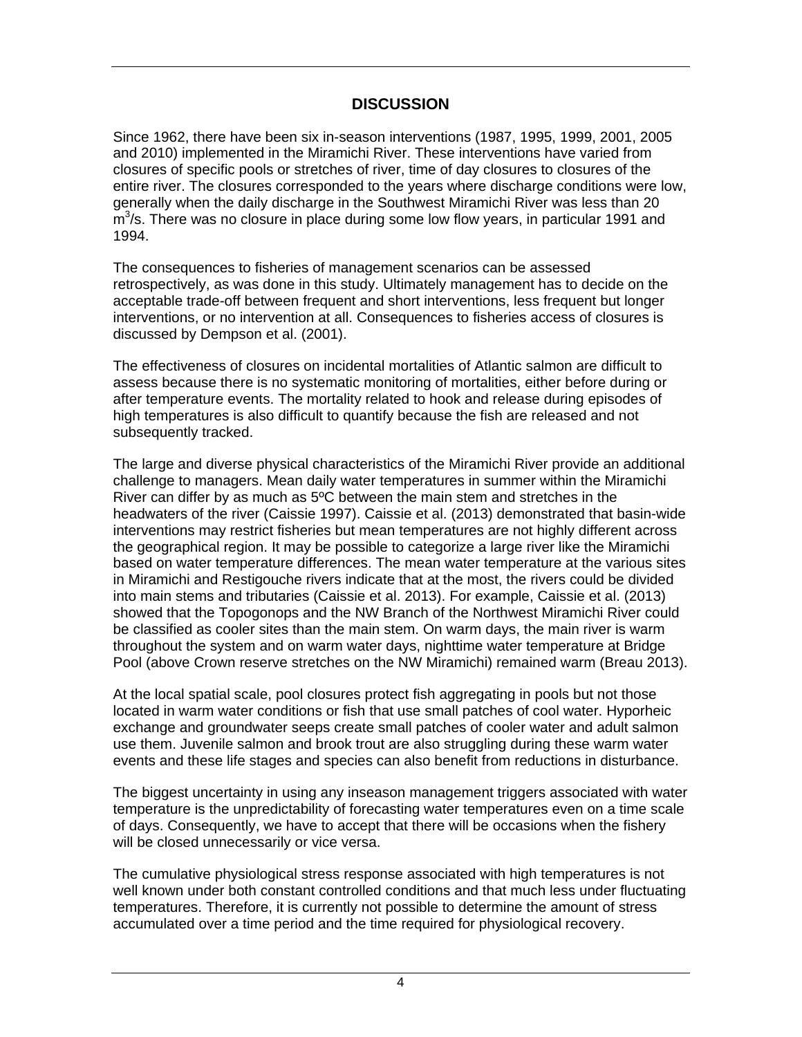## **DISCUSSION**

Since 1962, there have been six in-season interventions (1987, 1995, 1999, 2001, 2005 and 2010) implemented in the Miramichi River. These interventions have varied from closures of specific pools or stretches of river, time of day closures to closures of the entire river. The closures corresponded to the years where discharge conditions were low, generally when the daily discharge in the Southwest Miramichi River was less than 20  $\mathrm{m}^3$ /s. There was no closure in place during some low flow years, in particular 1991 and 1994.

The consequences to fisheries of management scenarios can be assessed retrospectively, as was done in this study. Ultimately management has to decide on the acceptable trade-off between frequent and short interventions, less frequent but longer interventions, or no intervention at all. Consequences to fisheries access of closures is discussed by Dempson et al. (2001).

The effectiveness of closures on incidental mortalities of Atlantic salmon are difficult to assess because there is no systematic monitoring of mortalities, either before during or after temperature events. The mortality related to hook and release during episodes of high temperatures is also difficult to quantify because the fish are released and not subsequently tracked.

The large and diverse physical characteristics of the Miramichi River provide an additional challenge to managers. Mean daily water temperatures in summer within the Miramichi River can differ by as much as 5ºC between the main stem and stretches in the headwaters of the river (Caissie 1997). Caissie et al. (2013) demonstrated that basin-wide interventions may restrict fisheries but mean temperatures are not highly different across the geographical region. It may be possible to categorize a large river like the Miramichi based on water temperature differences. The mean water temperature at the various sites in Miramichi and Restigouche rivers indicate that at the most, the rivers could be divided into main stems and tributaries (Caissie et al. 2013). For example, Caissie et al. (2013) showed that the Topogonops and the NW Branch of the Northwest Miramichi River could be classified as cooler sites than the main stem. On warm days, the main river is warm throughout the system and on warm water days, nighttime water temperature at Bridge Pool (above Crown reserve stretches on the NW Miramichi) remained warm (Breau 2013).

At the local spatial scale, pool closures protect fish aggregating in pools but not those located in warm water conditions or fish that use small patches of cool water. Hyporheic exchange and groundwater seeps create small patches of cooler water and adult salmon use them. Juvenile salmon and brook trout are also struggling during these warm water events and these life stages and species can also benefit from reductions in disturbance.

The biggest uncertainty in using any inseason management triggers associated with water temperature is the unpredictability of forecasting water temperatures even on a time scale of days. Consequently, we have to accept that there will be occasions when the fishery will be closed unnecessarily or vice versa.

The cumulative physiological stress response associated with high temperatures is not well known under both constant controlled conditions and that much less under fluctuating temperatures. Therefore, it is currently not possible to determine the amount of stress accumulated over a time period and the time required for physiological recovery.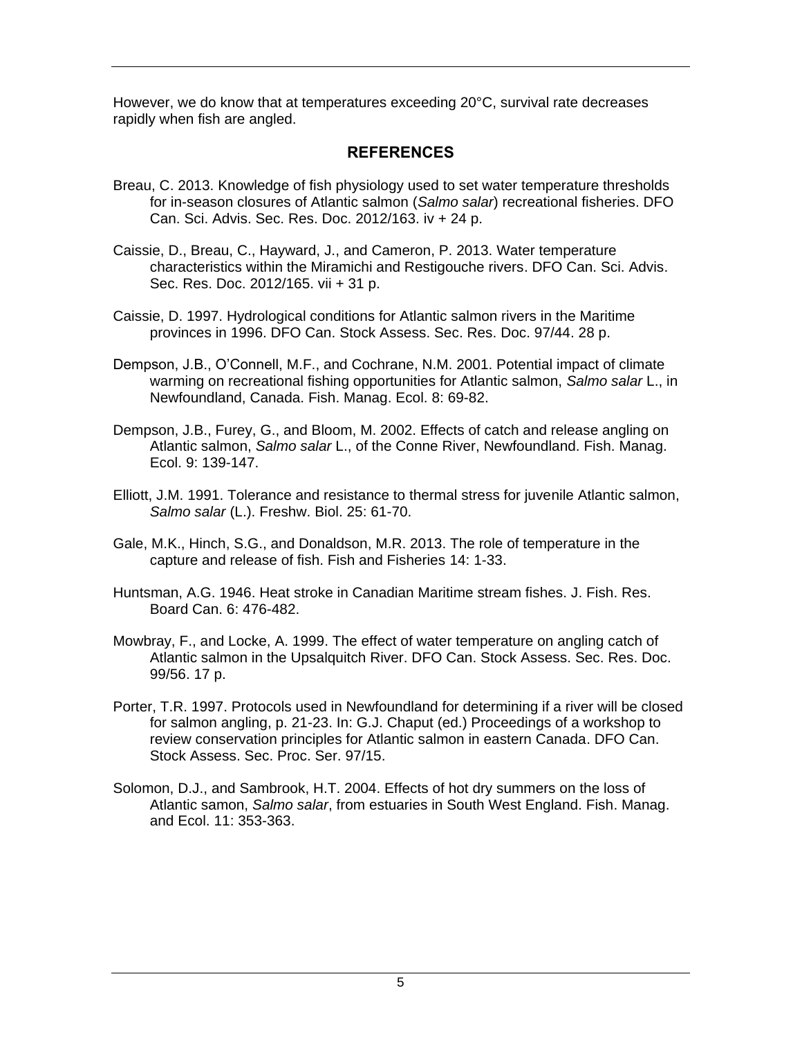However, we do know that at temperatures exceeding 20°C, survival rate decreases rapidly when fish are angled.

#### **REFERENCES**

- Breau, C. 2013. Knowledge of fish physiology used to set water temperature thresholds for in-season closures of Atlantic salmon (*Salmo salar*) recreational fisheries. DFO Can. Sci. Advis. Sec. Res. Doc. 2012/163. iv + 24 p.
- Caissie, D., Breau, C., Hayward, J., and Cameron, P. 2013. Water temperature characteristics within the Miramichi and Restigouche rivers. DFO Can. Sci. Advis. Sec. Res. Doc. 2012/165. vii + 31 p.
- Caissie, D. 1997. Hydrological conditions for Atlantic salmon rivers in the Maritime provinces in 1996. DFO Can. Stock Assess. Sec. Res. Doc. 97/44. 28 p.
- Dempson, J.B., O'Connell, M.F., and Cochrane, N.M. 2001. Potential impact of climate warming on recreational fishing opportunities for Atlantic salmon, *Salmo salar* L., in Newfoundland, Canada. Fish. Manag. Ecol. 8: 69-82.
- Dempson, J.B., Furey, G., and Bloom, M. 2002. Effects of catch and release angling on Atlantic salmon, *Salmo salar* L., of the Conne River, Newfoundland. Fish. Manag. Ecol. 9: 139-147.
- Elliott, J.M. 1991. Tolerance and resistance to thermal stress for juvenile Atlantic salmon, *Salmo salar* (L.). Freshw. Biol. 25: 61-70.
- Gale, M.K., Hinch, S.G., and Donaldson, M.R. 2013. The role of temperature in the capture and release of fish. Fish and Fisheries 14: 1-33.
- Huntsman, A.G. 1946. Heat stroke in Canadian Maritime stream fishes. J. Fish. Res. Board Can. 6: 476-482.
- Mowbray, F., and Locke, A. 1999. The effect of water temperature on angling catch of Atlantic salmon in the Upsalquitch River. DFO Can. Stock Assess. Sec. Res. Doc. 99/56. 17 p.
- Porter, T.R. 1997. Protocols used in Newfoundland for determining if a river will be closed for salmon angling, p. 21-23. In: G.J. Chaput (ed.) Proceedings of a workshop to review conservation principles for Atlantic salmon in eastern Canada. DFO Can. Stock Assess. Sec. Proc. Ser. 97/15.
- Solomon, D.J., and Sambrook, H.T. 2004. Effects of hot dry summers on the loss of Atlantic samon, *Salmo salar*, from estuaries in South West England. Fish. Manag. and Ecol. 11: 353-363.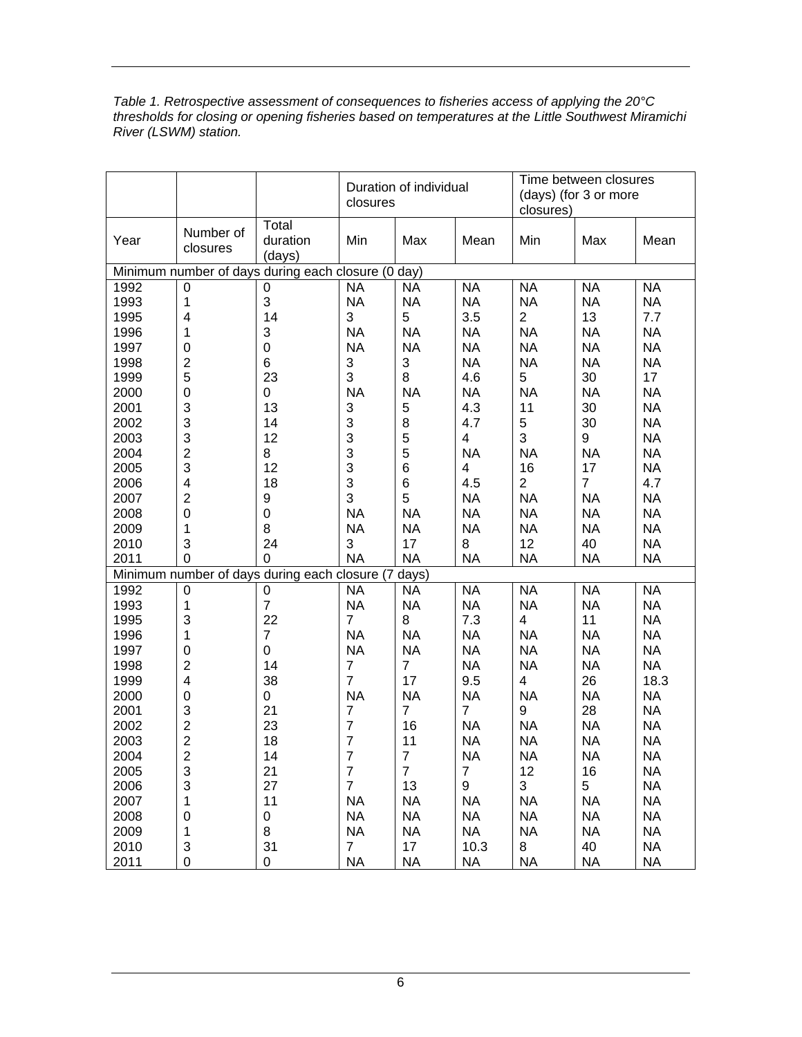| Table 1. Retrospective assessment of consequences to fisheries access of applying the 20 $\degree$ C |
|------------------------------------------------------------------------------------------------------|
| thresholds for closing or opening fisheries based on temperatures at the Little Southwest Miramichi  |
| River (LSWM) station.                                                                                |

|                                                    |                       |                                                     | Duration of individual<br>closures |                |                | Time between closures<br>(days) (for 3 or more<br>closures) |                |           |
|----------------------------------------------------|-----------------------|-----------------------------------------------------|------------------------------------|----------------|----------------|-------------------------------------------------------------|----------------|-----------|
| Year                                               | Number of<br>closures | Total<br>duration<br>(days)                         | Min                                | Max            | Mean           | Min                                                         | Max            | Mean      |
| Minimum number of days during each closure (0 day) |                       |                                                     |                                    |                |                |                                                             |                |           |
| 1992                                               | $\mathbf 0$           | $\overline{0}$                                      | <b>NA</b>                          | <b>NA</b>      | <b>NA</b>      | <b>NA</b>                                                   | <b>NA</b>      | <b>NA</b> |
| 1993                                               | 1                     | 3                                                   | <b>NA</b>                          | <b>NA</b>      | <b>NA</b>      | <b>NA</b>                                                   | <b>NA</b>      | <b>NA</b> |
| 1995                                               | 4                     | 14                                                  | 3                                  | 5              | 3.5            | $\overline{2}$                                              | 13             | 7.7       |
| 1996                                               | 1                     | 3                                                   | <b>NA</b>                          | <b>NA</b>      | <b>NA</b>      | <b>NA</b>                                                   | <b>NA</b>      | <b>NA</b> |
| 1997                                               | 0                     | $\mathbf 0$                                         | <b>NA</b>                          | <b>NA</b>      | <b>NA</b>      | <b>NA</b>                                                   | <b>NA</b>      | <b>NA</b> |
| 1998                                               | $\overline{c}$        | 6                                                   | 3                                  | 3              | <b>NA</b>      | <b>NA</b>                                                   | <b>NA</b>      | <b>NA</b> |
| 1999                                               | 5                     | 23                                                  | 3                                  | 8              | 4.6            | 5                                                           | 30             | 17        |
| 2000                                               | $\mathbf 0$           | 0                                                   | <b>NA</b>                          | <b>NA</b>      | <b>NA</b>      | <b>NA</b>                                                   | <b>NA</b>      | <b>NA</b> |
| 2001                                               | 3                     | 13                                                  | 3                                  | 5              | 4.3            | 11                                                          | 30             | <b>NA</b> |
| 2002                                               | 3                     | 14                                                  | 3                                  | 8              | 4.7            | 5                                                           | 30             | <b>NA</b> |
| 2003                                               | 3                     | 12                                                  | 3                                  | $\frac{5}{5}$  | 4              | 3                                                           | 9              | <b>NA</b> |
| 2004                                               | $\overline{c}$        | 8                                                   | 3                                  |                | <b>NA</b>      | <b>NA</b>                                                   | <b>NA</b>      | <b>NA</b> |
| 2005                                               | 3                     | 12                                                  | 3                                  | $\overline{6}$ | 4              | 16                                                          | 17             | <b>NA</b> |
| 2006                                               | 4                     | 18                                                  | 3                                  | $\,$ 6 $\,$    | 4.5            | $\overline{2}$                                              | $\overline{7}$ | 4.7       |
| 2007                                               | $\overline{c}$        | 9                                                   | 3                                  | 5              | <b>NA</b>      | <b>NA</b>                                                   | <b>NA</b>      | <b>NA</b> |
| 2008                                               | $\mathbf 0$           | $\mathbf 0$                                         | <b>NA</b>                          | <b>NA</b>      | <b>NA</b>      | <b>NA</b>                                                   | <b>NA</b>      | <b>NA</b> |
| 2009                                               | 1                     | 8                                                   | <b>NA</b>                          | <b>NA</b>      | <b>NA</b>      | <b>NA</b>                                                   | <b>NA</b>      | <b>NA</b> |
| 2010                                               | 3                     | 24                                                  | 3                                  | 17             | 8              | 12                                                          | 40             | <b>NA</b> |
| 2011                                               | $\mathbf 0$           | 0                                                   | <b>NA</b>                          | <b>NA</b>      | <b>NA</b>      | <b>NA</b>                                                   | <b>NA</b>      | <b>NA</b> |
|                                                    |                       | Minimum number of days during each closure (7 days) |                                    |                |                |                                                             |                |           |
| 1992                                               | $\boldsymbol{0}$      | 0                                                   | <b>NA</b>                          | <b>NA</b>      | <b>NA</b>      | <b>NA</b>                                                   | <b>NA</b>      | <b>NA</b> |
| 1993                                               | 1                     | $\overline{7}$                                      | <b>NA</b>                          | <b>NA</b>      | <b>NA</b>      | <b>NA</b>                                                   | <b>NA</b>      | <b>NA</b> |
| 1995                                               | 3                     | 22                                                  | $\overline{7}$                     | 8              | 7.3            | 4                                                           | 11             | <b>NA</b> |
| 1996                                               | 1                     | $\overline{7}$                                      | <b>NA</b>                          | <b>NA</b>      | <b>NA</b>      | <b>NA</b>                                                   | <b>NA</b>      | <b>NA</b> |
| 1997                                               | $\mathbf 0$           | $\mathbf 0$                                         | <b>NA</b>                          | <b>NA</b>      | <b>NA</b>      | <b>NA</b>                                                   | <b>NA</b>      | <b>NA</b> |
| 1998                                               | $\overline{c}$        | 14                                                  | $\overline{7}$                     | $\overline{7}$ | <b>NA</b>      | <b>NA</b>                                                   | <b>NA</b>      | <b>NA</b> |
| 1999                                               | 4                     | 38                                                  | $\overline{7}$                     | 17             | 9.5            | 4                                                           | 26             | 18.3      |
| 2000                                               | $\mathbf 0$           | 0                                                   | <b>NA</b>                          | <b>NA</b>      | <b>NA</b>      | <b>NA</b>                                                   | <b>NA</b>      | <b>NA</b> |
| 2001                                               | 3                     | 21                                                  | $\overline{7}$                     | $\overline{7}$ | $\overline{7}$ | 9                                                           | 28             | <b>NA</b> |
| 2002                                               |                       | 23                                                  | $\overline{7}$                     | 16             | <b>NA</b>      | <b>NA</b>                                                   | <b>NA</b>      | <b>NA</b> |
| 2003                                               | $\frac{2}{2}$         | 18                                                  | $\overline{7}$                     | 11             | <b>NA</b>      | <b>NA</b>                                                   | <b>NA</b>      | <b>NA</b> |
| 2004                                               | $\overline{2}$        | 14                                                  | $\overline{7}$                     | $\overline{7}$ | NA             | ΝA                                                          | <b>NA</b>      | <b>NA</b> |
| 2005                                               | 3                     | 21                                                  | $\boldsymbol{7}$                   | $\overline{7}$ | $\overline{7}$ | 12                                                          | 16             | <b>NA</b> |
| 2006                                               | 3                     | 27                                                  | $\overline{7}$                     | 13             | 9              | 3                                                           | 5              | <b>NA</b> |
| 2007                                               | 1                     | 11                                                  | <b>NA</b>                          | <b>NA</b>      | <b>NA</b>      | <b>NA</b>                                                   | <b>NA</b>      | <b>NA</b> |
| 2008                                               | 0                     | 0                                                   | <b>NA</b>                          | <b>NA</b>      | <b>NA</b>      | <b>NA</b>                                                   | <b>NA</b>      | <b>NA</b> |
| 2009                                               | 1                     | 8                                                   | <b>NA</b>                          | <b>NA</b>      | <b>NA</b>      | <b>NA</b>                                                   | <b>NA</b>      | <b>NA</b> |
| 2010                                               | 3                     | 31                                                  | 7 <sup>1</sup>                     | 17             | 10.3           | 8                                                           | 40             | <b>NA</b> |
| 2011                                               | 0                     | 0                                                   | <b>NA</b>                          | <b>NA</b>      | <b>NA</b>      | <b>NA</b>                                                   | <b>NA</b>      | <b>NA</b> |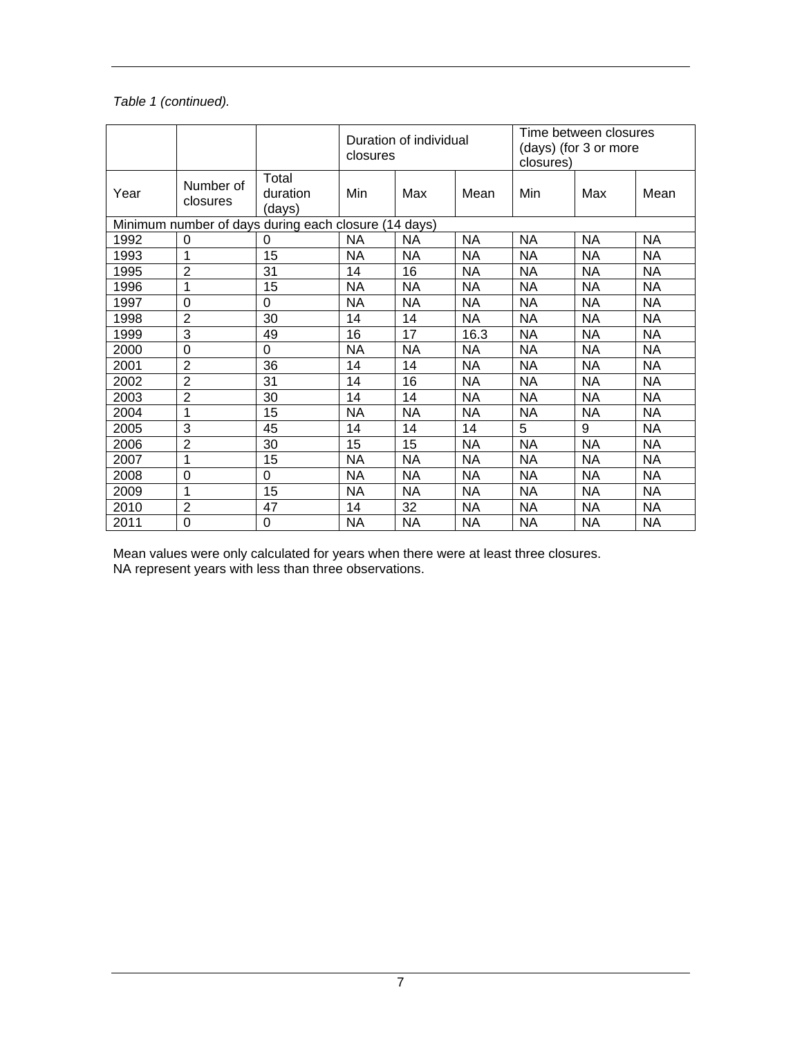#### *Table 1 (continued).*

|                                                      |                       |                             | Duration of individual<br>closures |           |           | Time between closures<br>(days) (for 3 or more<br>closures) |           |           |
|------------------------------------------------------|-----------------------|-----------------------------|------------------------------------|-----------|-----------|-------------------------------------------------------------|-----------|-----------|
| Year                                                 | Number of<br>closures | Total<br>duration<br>(days) | Min                                | Max       | Mean      | Min                                                         | Max       | Mean      |
| Minimum number of days during each closure (14 days) |                       |                             |                                    |           |           |                                                             |           |           |
| 1992                                                 | 0                     | 0                           | <b>NA</b>                          | <b>NA</b> | <b>NA</b> | <b>NA</b>                                                   | <b>NA</b> | <b>NA</b> |
| 1993                                                 | 1                     | 15                          | <b>NA</b>                          | <b>NA</b> | <b>NA</b> | <b>NA</b>                                                   | <b>NA</b> | ΝA        |
| 1995                                                 | $\overline{2}$        | 31                          | 14                                 | 16        | <b>NA</b> | <b>NA</b>                                                   | <b>NA</b> | ΝA        |
| 1996                                                 | 1                     | 15                          | <b>NA</b>                          | NA        | <b>NA</b> | <b>NA</b>                                                   | <b>NA</b> | <b>NA</b> |
| 1997                                                 | $\mathbf 0$           | 0                           | <b>NA</b>                          | <b>NA</b> | <b>NA</b> | <b>NA</b>                                                   | <b>NA</b> | <b>NA</b> |
| 1998                                                 | $\overline{2}$        | 30                          | 14                                 | 14        | <b>NA</b> | <b>NA</b>                                                   | <b>NA</b> | <b>NA</b> |
| 1999                                                 | 3                     | 49                          | 16                                 | 17        | 16.3      | ΝA                                                          | NA        | ΝA        |
| 2000                                                 | 0                     | 0                           | <b>NA</b>                          | <b>NA</b> | NA        | <b>NA</b>                                                   | NA        | <b>NA</b> |
| 2001                                                 | $\overline{2}$        | 36                          | 14                                 | 14        | <b>NA</b> | <b>NA</b>                                                   | <b>NA</b> | ΝA        |
| 2002                                                 | $\overline{2}$        | 31                          | 14                                 | 16        | <b>NA</b> | <b>NA</b>                                                   | <b>NA</b> | ΝA        |
| 2003                                                 | $\overline{2}$        | 30                          | 14                                 | 14        | <b>NA</b> | <b>NA</b>                                                   | <b>NA</b> | <b>NA</b> |
| 2004                                                 | 1                     | 15                          | <b>NA</b>                          | <b>NA</b> | <b>NA</b> | <b>NA</b>                                                   | <b>NA</b> | <b>NA</b> |
| 2005                                                 | 3                     | 45                          | 14                                 | 14        | 14        | 5                                                           | 9         | NA        |
| 2006                                                 | 2                     | 30                          | 15                                 | 15        | <b>NA</b> | ΝA                                                          | NA        | ΝA        |
| 2007                                                 | 1                     | 15                          | <b>NA</b>                          | <b>NA</b> | <b>NA</b> | <b>NA</b>                                                   | <b>NA</b> | <b>NA</b> |
| 2008                                                 | $\mathbf 0$           | 0                           | <b>NA</b>                          | <b>NA</b> | <b>NA</b> | <b>NA</b>                                                   | <b>NA</b> | <b>NA</b> |
| 2009                                                 | 1                     | 15                          | NA                                 | NA        | <b>NA</b> | <b>NA</b>                                                   | <b>NA</b> | ΝA        |
| 2010                                                 | $\boldsymbol{2}$      | 47                          | 14                                 | 32        | <b>NA</b> | <b>NA</b>                                                   | <b>NA</b> | <b>NA</b> |
| 2011                                                 | $\mathbf 0$           | 0                           | <b>NA</b>                          | <b>NA</b> | <b>NA</b> | <b>NA</b>                                                   | <b>NA</b> | <b>NA</b> |

Mean values were only calculated for years when there were at least three closures. NA represent years with less than three observations.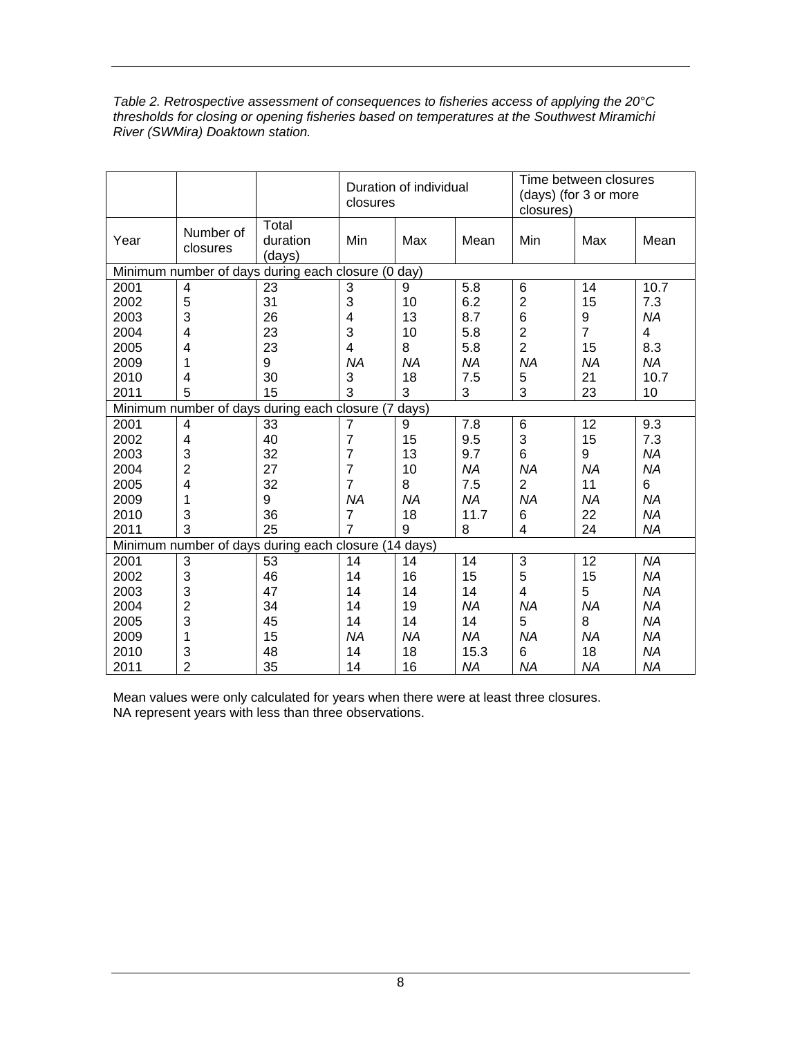| Table 2. Retrospective assessment of consequences to fisheries access of applying the 20 $\degree$ C |
|------------------------------------------------------------------------------------------------------|
| thresholds for closing or opening fisheries based on temperatures at the Southwest Miramichi         |
| River (SWMira) Doaktown station.                                                                     |

|                                                      |                       |                                               | Duration of individual<br>closures |           |           | Time between closures<br>(days) (for 3 or more<br>closures) |                |           |
|------------------------------------------------------|-----------------------|-----------------------------------------------|------------------------------------|-----------|-----------|-------------------------------------------------------------|----------------|-----------|
| Year                                                 | Number of<br>closures | Total<br>duration<br>(days)                   | Min                                | Max       | Mean      | Min                                                         | Max            | Mean      |
| Minimum number of days during each closure (0 day)   |                       |                                               |                                    |           |           |                                                             |                |           |
| 2001                                                 | 4                     | 23                                            | 3                                  | 9         | 5.8       | 6                                                           | 14             | 10.7      |
| 2002                                                 | 5                     | 31                                            | 3                                  | 10        | 6.2       | $\overline{c}$                                              | 15             | 7.3       |
| 2003                                                 | 3                     | 26                                            | 4                                  | 13        | 8.7       | 6                                                           | 9              | <b>NA</b> |
| 2004                                                 | 4                     | 23                                            | 3                                  | 10        | 5.8       | $\overline{2}$                                              | $\overline{7}$ | 4         |
| 2005                                                 | 4                     | 23                                            | 4                                  | 8         | 5.8       | $\overline{2}$                                              | 15             | 8.3       |
| 2009                                                 | 1                     | 9                                             | <b>NA</b>                          | <b>NA</b> | <b>NA</b> | <b>NA</b>                                                   | <b>NA</b>      | <b>NA</b> |
| 2010                                                 | 4                     | 30                                            | 3                                  | 18        | 7.5       | 5                                                           | 21             | 10.7      |
| 2011                                                 | 5                     | 15                                            | 3                                  | 3         | 3         | 3                                                           | 23             | 10        |
|                                                      |                       | Minimum number of days during each closure (7 |                                    | days)     |           |                                                             |                |           |
| 2001                                                 | $\overline{4}$        | 33                                            | 7                                  | 9         | 7.8       | 6                                                           | 12             | 9.3       |
| 2002                                                 | 4                     | 40                                            | $\overline{7}$                     | 15        | 9.5       | 3                                                           | 15             | 7.3       |
| 2003                                                 | 3                     | 32                                            | 7                                  | 13        | 9.7       | 6                                                           | 9              | <b>NA</b> |
| 2004                                                 | $\overline{2}$        | 27                                            | $\overline{7}$                     | 10        | <b>NA</b> | <b>NA</b>                                                   | <b>NA</b>      | <b>NA</b> |
| 2005                                                 | 4                     | 32                                            | $\overline{7}$                     | 8         | 7.5       | $\overline{2}$                                              | 11             | 6         |
| 2009                                                 | 1                     | 9                                             | <b>NA</b>                          | <b>NA</b> | <b>NA</b> | <b>NA</b>                                                   | <b>NA</b>      | <b>NA</b> |
| 2010                                                 | 3                     | 36                                            | 7                                  | 18        | 11.7      | 6                                                           | 22             | <b>NA</b> |
| 2011                                                 | 3                     | 25                                            | 7                                  | 9         | 8         | 4                                                           | 24             | <b>NA</b> |
| Minimum number of days during each closure (14 days) |                       |                                               |                                    |           |           |                                                             |                |           |
| 2001                                                 | 3                     | 53                                            | 14                                 | 14        | 14        | 3                                                           | 12             | <b>NA</b> |
| 2002                                                 | 3                     | 46                                            | 14                                 | 16        | 15        | 5                                                           | 15             | <b>NA</b> |
| 2003                                                 | 3                     | 47                                            | 14                                 | 14        | 14        | 4                                                           | 5              | <b>NA</b> |
| 2004                                                 | $\overline{c}$        | 34                                            | 14                                 | 19        | <b>NA</b> | <b>NA</b>                                                   | <b>NA</b>      | <b>NA</b> |
| 2005                                                 | 3                     | 45                                            | 14                                 | 14        | 14        | 5                                                           | 8              | <b>NA</b> |
| 2009                                                 | 1                     | 15                                            | <b>NA</b>                          | <b>NA</b> | <b>NA</b> | <b>NA</b>                                                   | <b>NA</b>      | <b>NA</b> |
| 2010                                                 | 3                     | 48                                            | 14                                 | 18        | 15.3      | 6                                                           | 18             | <b>NA</b> |
| 2011                                                 | $\overline{2}$        | 35                                            | 14                                 | 16        | <b>NA</b> | <b>NA</b>                                                   | <b>NA</b>      | <b>NA</b> |

Mean values were only calculated for years when there were at least three closures. NA represent years with less than three observations.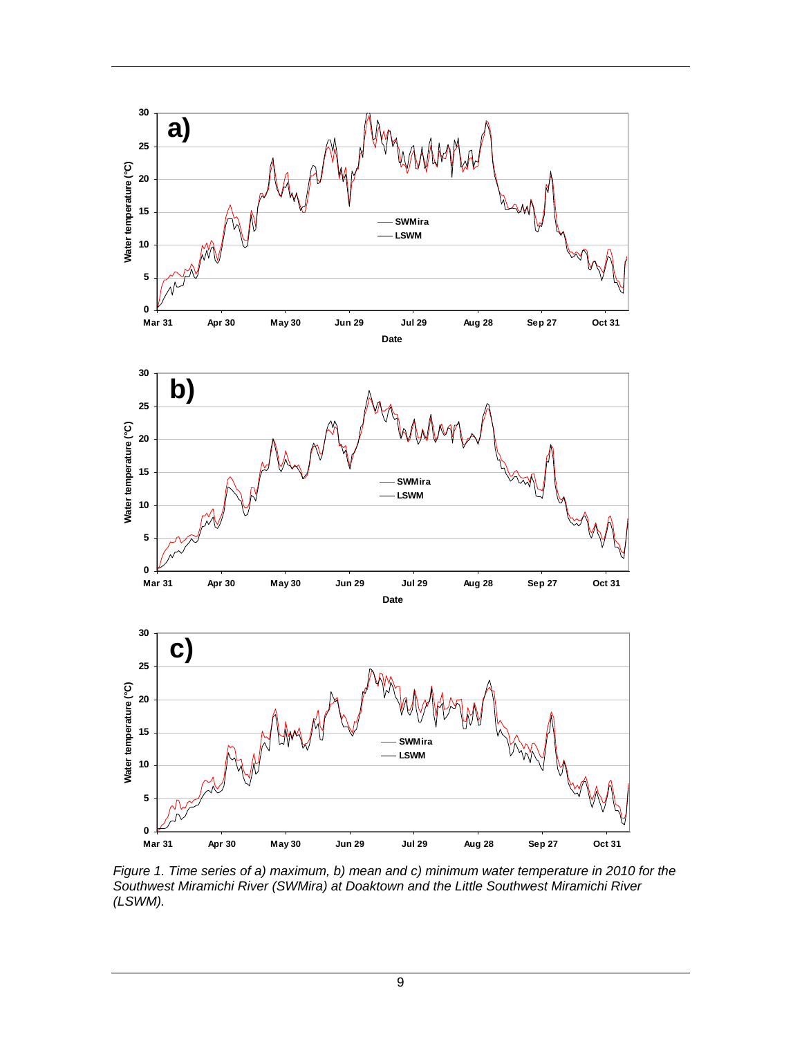





Figure 1. Time series of a) maximum, b) mean and c) minimum water temperature in 2010 for the *Southwest Miramichi River (SWMira) at Doaktown and the Little Southwest Miramichi River (LSWM).*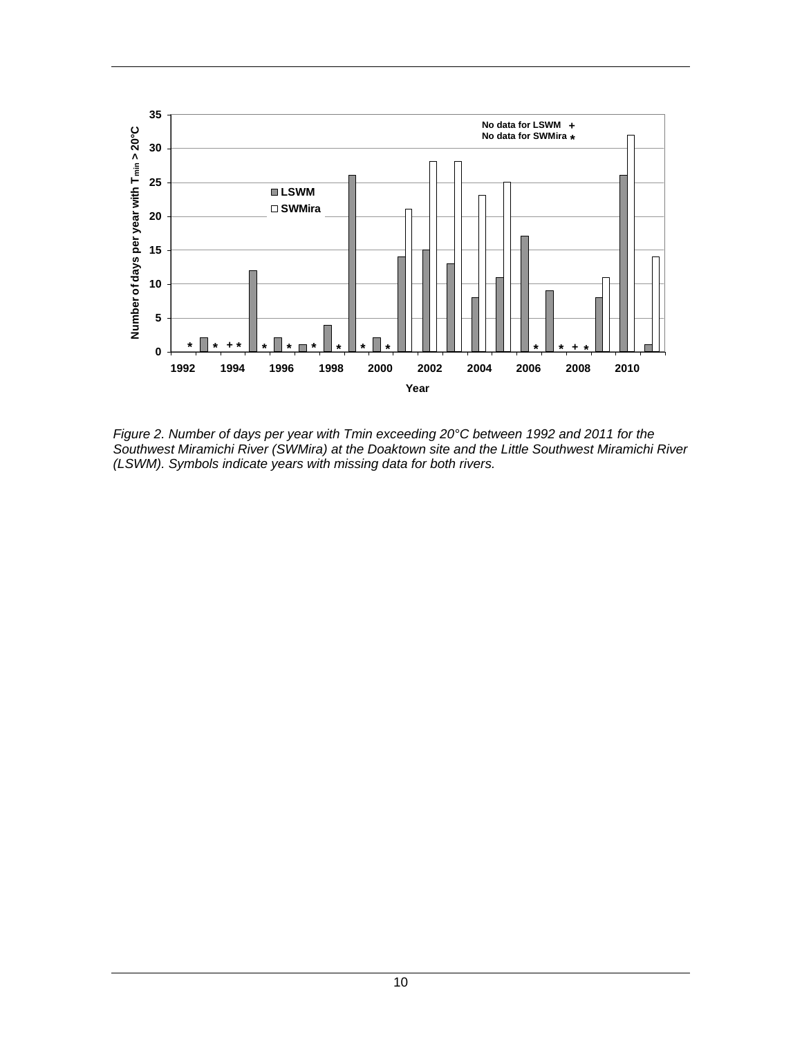

*Figure 2. Number of days per year with Tmin exceeding 20°C between 1992 and 2011 for the Southwest Miramichi River (SWMira) at the Doaktown site and the Little Southwest Miramichi River (LSWM). Symbols indicate years with missing data for both rivers.*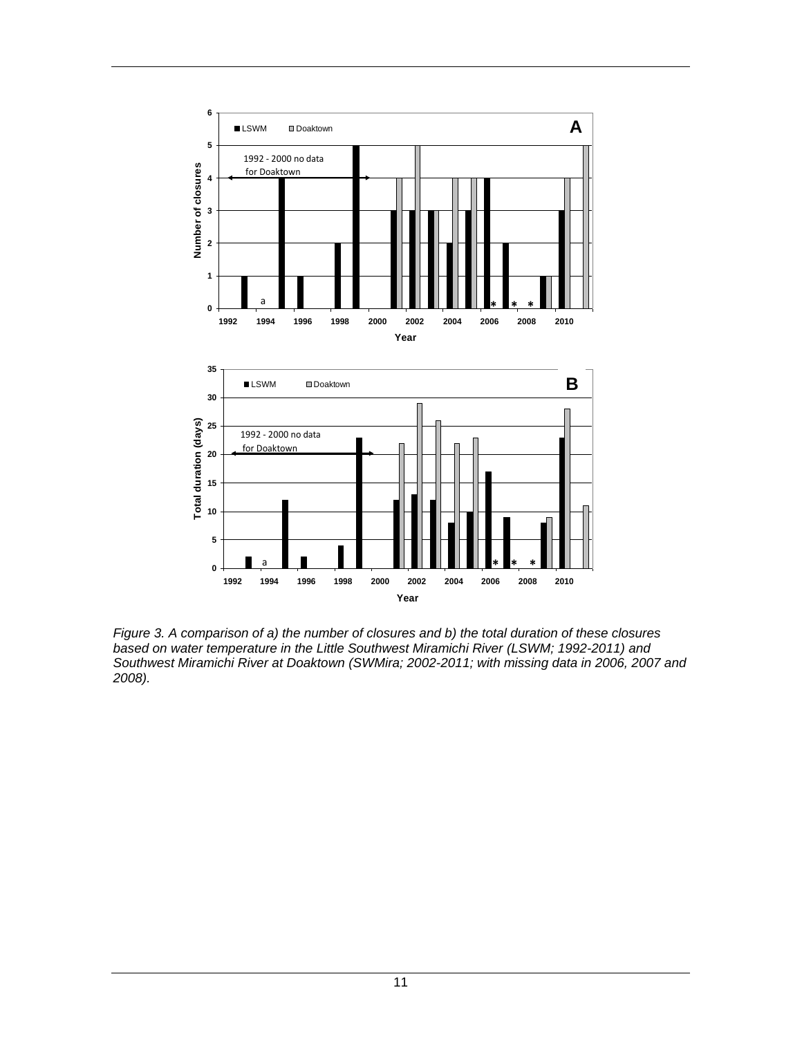

*Figure 3. A comparison of a) the number of closures and b) the total duration of these closures based on water temperature in the Little Southwest Miramichi River (LSWM; 1992-2011) and Southwest Miramichi River at Doaktown (SWMira; 2002-2011; with missing data in 2006, 2007 and 2008).*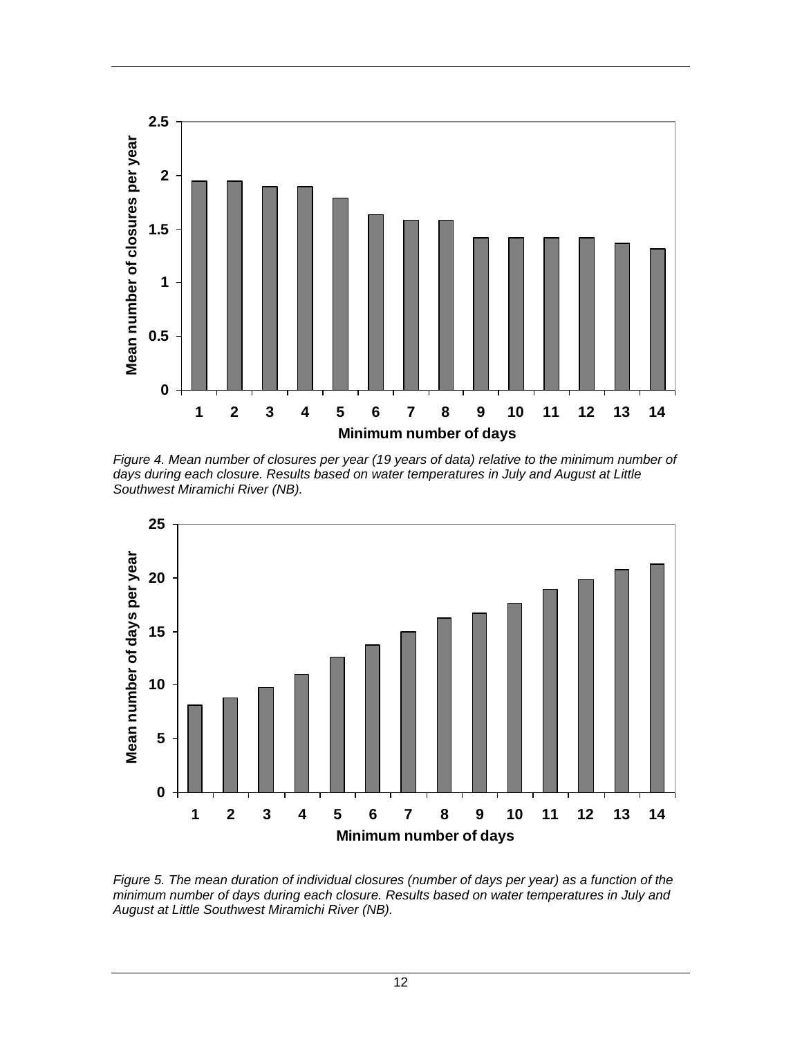

*Figure 4. Mean number of closures per year (19 years of data) relative to the minimum number of days during each closure. Results based on water temperatures in July and August at Little Southwest Miramichi River (NB).*



*Figure 5. The mean duration of individual closures (number of days per year) as a function of the minimum number of days during each closure. Results based on water temperatures in July and August at Little Southwest Miramichi River (NB).*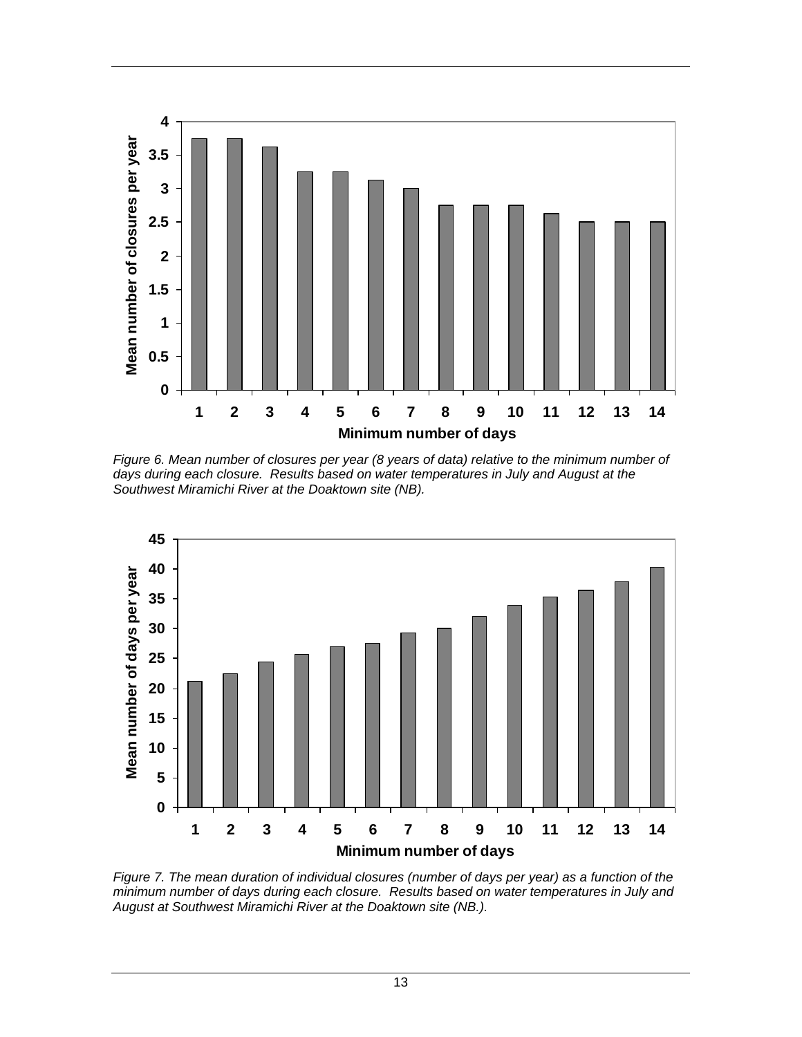

*Figure 6. Mean number of closures per year (8 years of data) relative to the minimum number of days during each closure. Results based on water temperatures in July and August at the Southwest Miramichi River at the Doaktown site (NB).* 



*Figure 7. The mean duration of individual closures (number of days per year) as a function of the minimum number of days during each closure. Results based on water temperatures in July and August at Southwest Miramichi River at the Doaktown site (NB.).*